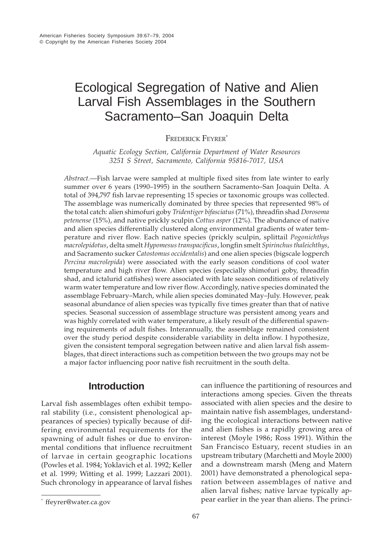# Ecological Segregation of Native and Alien Larval Fish Assemblages in the Southern Sacramento–San Joaquin Delta

FREDERICK FEYRER<sup>\*</sup>

*Aquatic Ecology Section, California Department of Water Resources 3251 S Street, Sacramento, California 95816-7017, USA*

*Abstract.*—Fish larvae were sampled at multiple fixed sites from late winter to early summer over 6 years (1990–1995) in the southern Sacramento–San Joaquin Delta. A total of 394,797 fish larvae representing 15 species or taxonomic groups was collected. The assemblage was numerically dominated by three species that represented 98% of the total catch: alien shimofuri goby *Tridentiger bifasciatus* (71%), threadfin shad *Dorosoma petenense* (15%), and native prickly sculpin *Cottus asper* (12%). The abundance of native and alien species differentially clustered along environmental gradients of water temperature and river flow. Each native species (prickly sculpin, splittail *Pogonichthys macrolepidotus*, delta smelt *Hypomesus transpacificus*, longfin smelt *Spirinchus thaleichthys*, and Sacramento sucker *Catostomus occidentalis*) and one alien species (bigscale logperch *Percina macrolepida*) were associated with the early season conditions of cool water temperature and high river flow. Alien species (especially shimofuri goby, threadfin shad, and ictalurid catfishes) were associated with late season conditions of relatively warm water temperature and low river flow. Accordingly, native species dominated the assemblage February–March, while alien species dominated May–July. However, peak seasonal abundance of alien species was typically five times greater than that of native species. Seasonal succession of assemblage structure was persistent among years and was highly correlated with water temperature, a likely result of the differential spawning requirements of adult fishes. Interannually, the assemblage remained consistent over the study period despite considerable variability in delta inflow. I hypothesize, given the consistent temporal segregation between native and alien larval fish assemblages, that direct interactions such as competition between the two groups may not be a major factor influencing poor native fish recruitment in the south delta.

# **Introduction**

Larval fish assemblages often exhibit temporal stability (i.e., consistent phenological appearances of species) typically because of differing environmental requirements for the spawning of adult fishes or due to environmental conditions that influence recruitment of larvae in certain geographic locations (Powles et al. 1984; Yoklavich et al. 1992; Keller et al. 1999; Witting et al. 1999; Lazzari 2001). Such chronology in appearance of larval fishes

can influence the partitioning of resources and interactions among species. Given the threats associated with alien species and the desire to maintain native fish assemblages, understanding the ecological interactions between native and alien fishes is a rapidly growing area of interest (Moyle 1986; Ross 1991). Within the San Francisco Estuary, recent studies in an upstream tributary (Marchetti and Moyle 2000) and a downstream marsh (Meng and Matern 2001) have demonstrated a phenological separation between assemblages of native and alien larval fishes; native larvae typically ap- \* pear earlier in the year than aliens. The princi- ffeyrer@water.ca.gov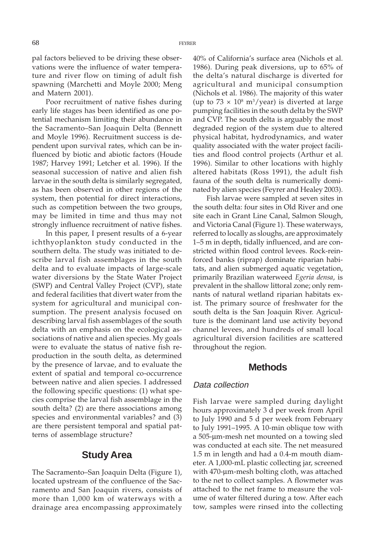pal factors believed to be driving these observations were the influence of water temperature and river flow on timing of adult fish spawning (Marchetti and Moyle 2000; Meng and Matern 2001).

Poor recruitment of native fishes during early life stages has been identified as one potential mechanism limiting their abundance in the Sacramento–San Joaquin Delta (Bennett and Moyle 1996). Recruitment success is dependent upon survival rates, which can be influenced by biotic and abiotic factors (Houde 1987; Harvey 1991; Letcher et al. 1996). If the seasonal succession of native and alien fish larvae in the south delta is similarly segregated, as has been observed in other regions of the system, then potential for direct interactions, such as competition between the two groups, may be limited in time and thus may not strongly influence recruitment of native fishes.

In this paper, I present results of a 6-year ichthyoplankton study conducted in the southern delta. The study was initiated to describe larval fish assemblages in the south delta and to evaluate impacts of large-scale water diversions by the State Water Project (SWP) and Central Valley Project (CVP), state and federal facilities that divert water from the system for agricultural and municipal consumption. The present analysis focused on describing larval fish assemblages of the south delta with an emphasis on the ecological associations of native and alien species. My goals were to evaluate the status of native fish reproduction in the south delta, as determined by the presence of larvae, and to evaluate the extent of spatial and temporal co-occurrence between native and alien species. I addressed the following specific questions: (1) what species comprise the larval fish assemblage in the south delta? (2) are there associations among species and environmental variables? and (3) are there persistent temporal and spatial patterns of assemblage structure?

#### **Study Area**

The Sacramento–San Joaquin Delta (Figure 1), located upstream of the confluence of the Sacramento and San Joaquin rivers, consists of more than 1,000 km of waterways with a drainage area encompassing approximately

40% of California's surface area (Nichols et al. 1986). During peak diversions, up to 65% of the delta's natural discharge is diverted for agricultural and municipal consumption (Nichols et al. 1986). The majority of this water (up to  $73 \times 10^8$  m<sup>3</sup>/year) is diverted at large pumping facilities in the south delta by the SWP and CVP. The south delta is arguably the most degraded region of the system due to altered physical habitat, hydrodynamics, and water quality associated with the water project facilities and flood control projects (Arthur et al. 1996). Similar to other locations with highly altered habitats (Ross 1991), the adult fish fauna of the south delta is numerically dominated by alien species (Feyrer and Healey 2003).

Fish larvae were sampled at seven sites in the south delta: four sites in Old River and one site each in Grant Line Canal, Salmon Slough, and Victoria Canal (Figure 1). These waterways, referred to locally as sloughs, are approximately 1–5 m in depth, tidally influenced, and are constricted within flood control levees. Rock-reinforced banks (riprap) dominate riparian habitats, and alien submerged aquatic vegetation, primarily Brazilian waterweed *Egeria densa*, is prevalent in the shallow littoral zone; only remnants of natural wetland riparian habitats exist. The primary source of freshwater for the south delta is the San Joaquin River. Agriculture is the dominant land use activity beyond channel levees, and hundreds of small local agricultural diversion facilities are scattered throughout the region.

#### **Methods**

#### Data collection

Fish larvae were sampled during daylight hours approximately 3 d per week from April to July 1990 and 5 d per week from February to July 1991–1995. A 10-min oblique tow with a 505-µm-mesh net mounted on a towing sled was conducted at each site. The net measured 1.5 m in length and had a 0.4-m mouth diameter. A 1,000-mL plastic collecting jar, screened with 470-µm-mesh bolting cloth, was attached to the net to collect samples. A flowmeter was attached to the net frame to measure the volume of water filtered during a tow. After each tow, samples were rinsed into the collecting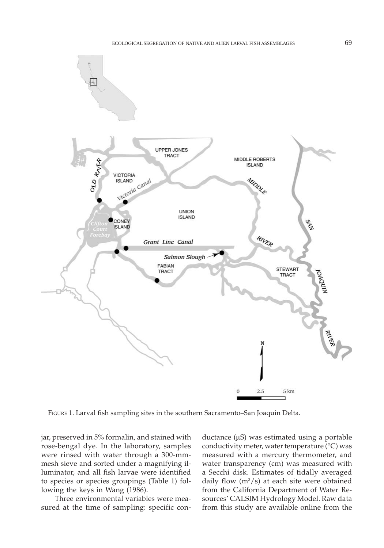

FIGURE 1. Larval fish sampling sites in the southern Sacramento–San Joaquin Delta.

jar, preserved in 5% formalin, and stained with rose-bengal dye. In the laboratory, samples were rinsed with water through a 300-mmmesh sieve and sorted under a magnifying illuminator, and all fish larvae were identified to species or species groupings (Table 1) following the keys in Wang (1986).

Three environmental variables were measured at the time of sampling: specific conductance  $(\mu S)$  was estimated using a portable conductivity meter, water temperature (°C) was measured with a mercury thermometer, and water transparency (cm) was measured with a Secchi disk. Estimates of tidally averaged daily flow  $(m<sup>3</sup>/s)$  at each site were obtained from the California Department of Water Resources' CALSIM Hydrology Model. Raw data from this study are available online from the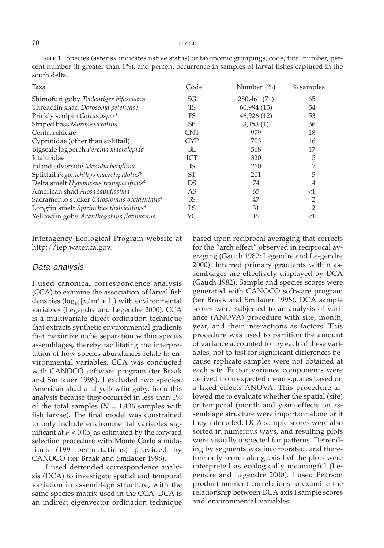#### 70 FEYRER

| south delta.                               |            |                |             |
|--------------------------------------------|------------|----------------|-------------|
| Taxa                                       | Code       | Number $(\% )$ | $%$ samples |
| Shimofuri goby Tridentiger bifasciatus     | SG         | 280,461 (71)   | 65          |
| Threadfin shad Dorosoma petenense          | TS         | 60,994 (15)    | 54          |
| Prickly sculpin Cottus asper*              | PS         | 46,926 (12)    | 53          |
| Striped bass Morone saxatilis              | <b>SB</b>  | 3,153(1)       | 36          |
| Centrarchidae                              | <b>CNT</b> | 979            | 18          |
| Cyprinidae (other than splittail)          | CYP        | 703            | 16          |
| Bigscale logperch Percina macrolepida      | BL         | 568            | 17          |
| <b>Ictaluridae</b>                         | <b>ICT</b> | 320            | 5           |
| Inland silverside Menidia beryllina        | IS         | 260            | 7           |
| Splittail Pogonichthys macrolepidotus*     | ST         | 201            | 5           |
| Delta smelt Hypomesus transpacificus*      | DS         | 74             | 4           |
| American shad Alosa sapidissima            | AS         | 65             | <1          |
| Sacramento sucker Catostomus occidentalis* | <b>SS</b>  | 47             |             |
| Longfin smelt Spirinchus thaleichthys*     | LS         | 31             | 2           |
| Yellowfin goby Acanthogobius flavimanus    | YG         | 15             | <1          |

TABLE 1. Species (asterisk indicates native status) or taxonomic groupings, code, total number, percent number (if greater than 1%), and percent occurrence in samples of larval fishes captured in the

Interagency Ecological Program website at http://iep.water.ca.gov.

#### Data analysis

I used canonical correspondence analysis (CCA) to examine the association of larval fish densities  $(\log_{10} [x/m^3 + 1])$  with environmental variables (Legendre and Legendre 2000). CCA is a multivariate direct ordination technique that extracts synthetic environmental gradients that maximize niche separation within species assemblages, thereby facilitating the interpretation of how species abundances relate to environmental variables. CCA was conducted with CANOCO software program (ter Braak and Smilauer 1998). I excluded two species, American shad and yellowfin goby, from this analysis because they occurred in less than 1% of the total samples  $(N = 1,436$  samples with fish larvae). The final model was constrained to only include environmental variables significant at  $P < 0.05$ , as estimated by the forward selection procedure with Monte Carlo simulations (199 permutations) provided by CANOCO (ter Braak and Smilauer 1998).

I used detrended correspondence analysis (DCA) to investigate spatial and temporal variation in assemblage structure, with the same species matrix used in the CCA. DCA is an indirect eigenvector ordination technique

based upon reciprocal averaging that corrects for the "arch effect" observed in reciprocal averaging (Gauch 1982; Legendre and Le-gendre 2000). Inferred primary gradients within assemblages are effectively displayed by DCA (Gauch 1982). Sample and species scores were generated with CANOCO software program (ter Braak and Smilauer 1998). DCA sample scores were subjected to an analysis of variance (ANOVA) procedure with site, month, year, and their interactions as factors. This procedure was used to partition the amount of variance accounted for by each of these variables, not to test for significant differences because replicate samples were not obtained at each site. Factor variance components were derived from expected mean squares based on a fixed effects ANOVA. This procedure allowed me to evaluate whether the spatial (site) or temporal (month and year) effects on assemblage structure were important alone or if they interacted. DCA sample scores were also sorted in numerous ways, and resulting plots were visually inspected for patterns. Detrending by segments was incorporated, and therefore only scores along axis I of the plots were interpreted as ecologically meaningful (Legendre and Legendre 2000). I used Pearson product-moment correlations to examine the relationship between DCA axis I sample scores and environmental variables.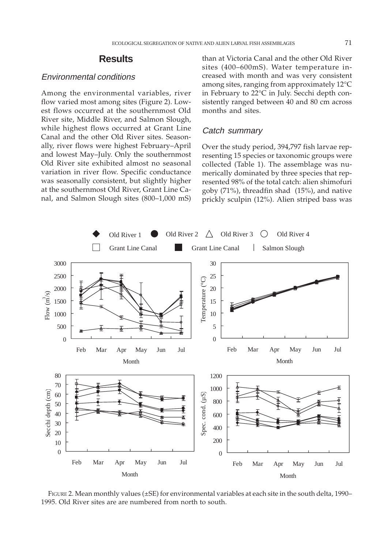#### **Results**

#### Environmental conditions

Among the environmental variables, river flow varied most among sites (Figure 2). Lowest flows occurred at the southernmost Old River site, Middle River, and Salmon Slough, while highest flows occurred at Grant Line Canal and the other Old River sites. Seasonally, river flows were highest February–April and lowest May–July. Only the southernmost Old River site exhibited almost no seasonal variation in river flow. Specific conductance was seasonally consistent, but slightly higher at the southernmost Old River, Grant Line Canal, and Salmon Slough sites (800–1,000 mS)

than at Victoria Canal and the other Old River sites (400–600mS). Water temperature increased with month and was very consistent among sites, ranging from approximately 12°C in February to 22°C in July. Secchi depth consistently ranged between 40 and 80 cm across months and sites.

#### Catch summary

Over the study period, 394,797 fish larvae representing 15 species or taxonomic groups were collected (Table 1). The assemblage was numerically dominated by three species that represented 98% of the total catch: alien shimofuri goby (71%), threadfin shad (15%), and native prickly sculpin (12%). Alien striped bass was



FIGURE 2. Mean monthly values (±SE) for environmental variables at each site in the south delta, 1990– 1995. Old River sites are are numbered from north to south.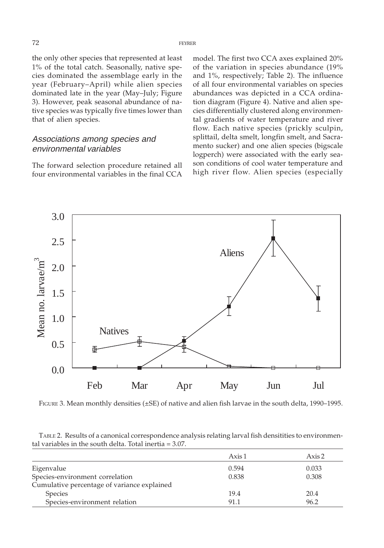the only other species that represented at least 1% of the total catch. Seasonally, native species dominated the assemblage early in the year (February–April) while alien species dominated late in the year (May–July; Figure 3). However, peak seasonal abundance of native species was typically five times lower than that of alien species.

#### Associations among species and environmental variables

The forward selection procedure retained all four environmental variables in the final CCA

model. The first two CCA axes explained 20% of the variation in species abundance (19% and 1%, respectively; Table 2). The influence of all four environmental variables on species abundances was depicted in a CCA ordination diagram (Figure 4). Native and alien species differentially clustered along environmental gradients of water temperature and river flow. Each native species (prickly sculpin, splittail, delta smelt, longfin smelt, and Sacramento sucker) and one alien species (bigscale logperch) were associated with the early season conditions of cool water temperature and high river flow. Alien species (especially



FIGURE 3. Mean monthly densities (±SE) of native and alien fish larvae in the south delta, 1990–1995.

TABLE 2. Results of a canonical correspondence analysis relating larval fish densitities to environmental variables in the south delta. Total inertia = 3.07.

|                                             | Axis 1 | Axis 2 |
|---------------------------------------------|--------|--------|
| Eigenvalue                                  | 0.594  | 0.033  |
| Species-environment correlation             | 0.838  | 0.308  |
| Cumulative percentage of variance explained |        |        |
| Species                                     | 19.4   | 20.4   |
| Species-environment relation                | 91.1   | 96.2   |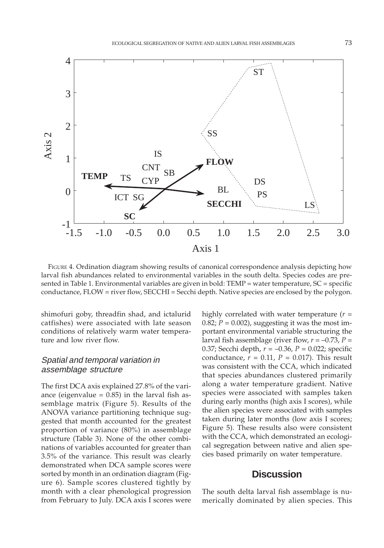

FIGURE 4. Ordination diagram showing results of canonical correspondence analysis depicting how larval fish abundances related to environmental variables in the south delta. Species codes are presented in Table 1. Environmental variables are given in bold: TEMP = water temperature, SC = specific conductance, FLOW = river flow, SECCHI = Secchi depth. Native species are enclosed by the polygon.

shimofuri goby, threadfin shad, and ictalurid catfishes) were associated with late season conditions of relatively warm water temperature and low river flow.

### Spatial and temporal variation in assemblage structure

The first DCA axis explained 27.8% of the variance (eigenvalue  $= 0.85$ ) in the larval fish assemblage matrix (Figure 5). Results of the ANOVA variance partitioning technique suggested that month accounted for the greatest proportion of variance (80%) in assemblage structure (Table 3). None of the other combinations of variables accounted for greater than 3.5% of the variance. This result was clearly demonstrated when DCA sample scores were sorted by month in an ordination diagram (Figure 6). Sample scores clustered tightly by month with a clear phenological progression from February to July. DCA axis I scores were highly correlated with water temperature (*r* = 0.82;  $P = 0.002$ ), suggesting it was the most important environmental variable structuring the larval fish assemblage (river flow,  $r = -0.73$ ,  $P =$ 0.37; Secchi depth, *r* = –0.36, *P* = 0.022; specific conductance,  $r = 0.11$ ,  $P = 0.017$ ). This result was consistent with the CCA, which indicated that species abundances clustered primarily along a water temperature gradient. Native species were associated with samples taken during early months (high axis I scores), while the alien species were associated with samples taken during later months (low axis I scores; Figure 5). These results also were consistent with the CCA, which demonstrated an ecological segregation between native and alien species based primarily on water temperature.

## **Discussion**

The south delta larval fish assemblage is numerically dominated by alien species. This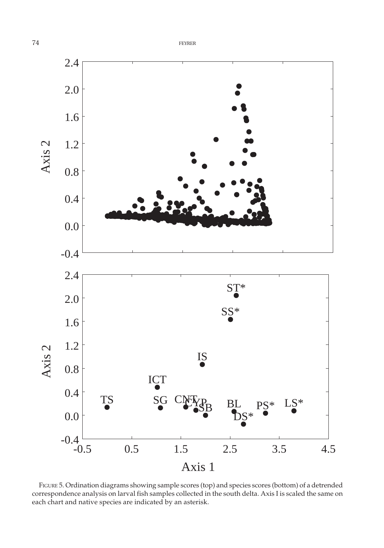

FIGURE 5. Ordination diagrams showing sample scores (top) and species scores (bottom) of a detrended correspondence analysis on larval fish samples collected in the south delta. Axis I is scaled the same on each chart and native species are indicated by an asterisk.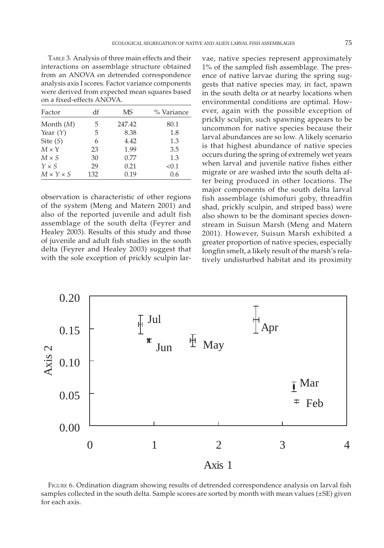TABLE 3. Analysis of three main effects and their interactions on assemblage structure obtained from an ANOVA on detrended correspondence analysis axis I scores. Factor variance components were derived from expected mean squares based on a fixed-effects ANOVA.

| Factor                | df  | <b>MS</b> | % Variance |
|-----------------------|-----|-----------|------------|
| Month $(M)$           | 5   | 247.42    | 80.1       |
| Year $(Y)$            | 5   | 8.38      | 1.8        |
| Site $(S)$            | 6   | 4.42      | 1.3        |
| $M \times Y$          | 23  | 1.99      | 3.5        |
| $M \times S$          | 30  | 0.77      | 1.3        |
| $Y \times S$          | 29  | 0.21      | < 0.1      |
| $M \times Y \times S$ | 132 | 0.19      | 0.6        |

observation is characteristic of other regions of the system (Meng and Matern 2001) and also of the reported juvenile and adult fish assemblage of the south delta (Feyrer and Healey 2003). Results of this study and those of juvenile and adult fish studies in the south delta (Feyrer and Healey 2003) suggest that with the sole exception of prickly sculpin larvae, native species represent approximately 1% of the sampled fish assemblage. The presence of native larvae during the spring suggests that native species may, in fact, spawn in the south delta or at nearby locations when environmental conditions are optimal. However, again with the possible exception of prickly sculpin, such spawning appears to be uncommon for native species because their larval abundances are so low. A likely scenario is that highest abundance of native species occurs during the spring of extremely wet years when larval and juvenile native fishes either migrate or are washed into the south delta after being produced in other locations. The major components of the south delta larval fish assemblage (shimofuri goby, threadfin shad, prickly sculpin, and striped bass) were also shown to be the dominant species downstream in Suisun Marsh (Meng and Matern 2001). However, Suisun Marsh exhibited a greater proportion of native species, especially longfin smelt, a likely result of the marsh's relatively undisturbed habitat and its proximity



FIGURE 6. Ordination diagram showing results of detrended correspondence analysis on larval fish samples collected in the south delta. Sample scores are sorted by month with mean values (±SE) given for each axis.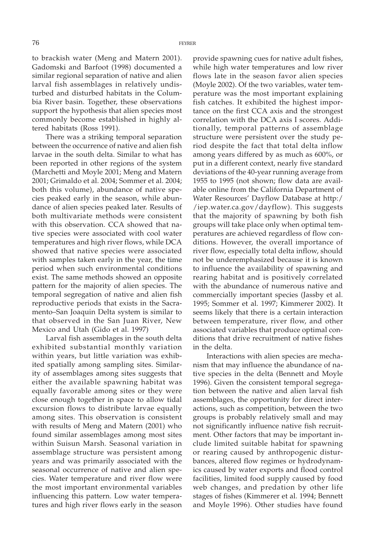to brackish water (Meng and Matern 2001). Gadomski and Barfoot (1998) documented a similar regional separation of native and alien larval fish assemblages in relatively undisturbed and disturbed habitats in the Columbia River basin. Together, these observations support the hypothesis that alien species most commonly become established in highly altered habitats (Ross 1991).

There was a striking temporal separation between the occurrence of native and alien fish larvae in the south delta. Similar to what has been reported in other regions of the system (Marchetti and Moyle 2001; Meng and Matern 2001; Grimaldo et al. 2004; Sommer et al. 2004; both this volume), abundance of native species peaked early in the season, while abundance of alien species peaked later. Results of both multivariate methods were consistent with this observation. CCA showed that native species were associated with cool water temperatures and high river flows, while DCA showed that native species were associated with samples taken early in the year, the time period when such environmental conditions exist. The same methods showed an opposite pattern for the majority of alien species. The temporal segregation of native and alien fish reproductive periods that exists in the Sacramento–San Joaquin Delta system is similar to that observed in the San Juan River, New Mexico and Utah (Gido et al. 1997)

Larval fish assemblages in the south delta exhibited substantial monthly variation within years, but little variation was exhibited spatially among sampling sites. Similarity of assemblages among sites suggests that either the available spawning habitat was equally favorable among sites or they were close enough together in space to allow tidal excursion flows to distribute larvae equally among sites. This observation is consistent with results of Meng and Matern (2001) who found similar assemblages among most sites within Suisun Marsh. Seasonal variation in assemblage structure was persistent among years and was primarily associated with the seasonal occurrence of native and alien species. Water temperature and river flow were the most important environmental variables influencing this pattern. Low water temperatures and high river flows early in the season provide spawning cues for native adult fishes, while high water temperatures and low river flows late in the season favor alien species (Moyle 2002). Of the two variables, water temperature was the most important explaining fish catches. It exhibited the highest importance on the first CCA axis and the strongest correlation with the DCA axis I scores. Additionally, temporal patterns of assemblage structure were persistent over the study period despite the fact that total delta inflow among years differed by as much as 600%, or put in a different context, nearly five standard deviations of the 40-year running average from 1955 to 1995 (not shown; flow data are available online from the California Department of Water Resources' Dayflow Database at http:/ /iep.water.ca.gov/dayflow). This suggests that the majority of spawning by both fish groups will take place only when optimal temperatures are achieved regardless of flow conditions. However, the overall importance of river flow, especially total delta inflow, should not be underemphasized because it is known to influence the availability of spawning and rearing habitat and is positively correlated with the abundance of numerous native and commercially important species (Jassby et al. 1995; Sommer et al. 1997; Kimmerer 2002). It seems likely that there is a certain interaction between temperature, river flow, and other associated variables that produce optimal conditions that drive recruitment of native fishes in the delta.

Interactions with alien species are mechanism that may influence the abundance of native species in the delta (Bennett and Moyle 1996). Given the consistent temporal segregation between the native and alien larval fish assemblages, the opportunity for direct interactions, such as competition, between the two groups is probably relatively small and may not significantly influence native fish recruitment. Other factors that may be important include limited suitable habitat for spawning or rearing caused by anthropogenic disturbances, altered flow regimes or hydrodynamics caused by water exports and flood control facilities, limited food supply caused by food web changes, and predation by other life stages of fishes (Kimmerer et al. 1994; Bennett and Moyle 1996). Other studies have found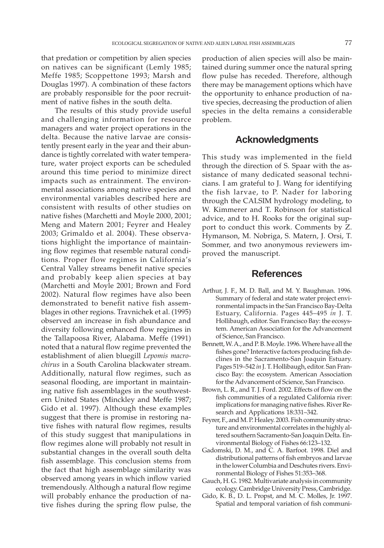that predation or competition by alien species on natives can be significant (Lemly 1985; Meffe 1985; Scoppettone 1993; Marsh and Douglas 1997). A combination of these factors are probably responsible for the poor recruitment of native fishes in the south delta.

The results of this study provide useful and challenging information for resource managers and water project operations in the delta. Because the native larvae are consistently present early in the year and their abundance is tightly correlated with water temperature, water project exports can be scheduled around this time period to minimize direct impacts such as entrainment. The environmental associations among native species and environmental variables described here are consistent with results of other studies on native fishes (Marchetti and Moyle 2000, 2001; Meng and Matern 2001; Feyrer and Healey 2003; Grimaldo et al. 2004). These observations highlight the importance of maintaining flow regimes that resemble natural conditions. Proper flow regimes in California's Central Valley streams benefit native species and probably keep alien species at bay (Marchetti and Moyle 2001; Brown and Ford 2002). Natural flow regimes have also been demonstrated to benefit native fish assemblages in other regions. Travnichek et al. (1995) observed an increase in fish abundance and diversity following enhanced flow regimes in the Tallapoosa River, Alabama. Meffe (1991) noted that a natural flow regime prevented the establishment of alien bluegill *Lepomis macrochirus* in a South Carolina blackwater stream. Additionally, natural flow regimes, such as seasonal flooding, are important in maintaining native fish assemblages in the southwestern United States (Minckley and Meffe 1987; Gido et al. 1997). Although these examples suggest that there is promise in restoring native fishes with natural flow regimes, results of this study suggest that manipulations in flow regimes alone will probably not result in substantial changes in the overall south delta fish assemblage. This conclusion stems from the fact that high assemblage similarity was observed among years in which inflow varied tremendously. Although a natural flow regime will probably enhance the production of native fishes during the spring flow pulse, the production of alien species will also be maintained during summer once the natural spring flow pulse has receded. Therefore, although there may be management options which have the opportunity to enhance production of native species, decreasing the production of alien species in the delta remains a considerable problem.

# **Acknowledgments**

This study was implemented in the field through the direction of S. Spaar with the assistance of many dedicated seasonal technicians. I am grateful to J. Wang for identifying the fish larvae, to P. Nader for laboring through the CALSIM hydrology modeling, to W. Kimmerer and T. Robinson for statistical advice, and to H. Rooks for the original support to conduct this work. Comments by Z. Hymanson, M. Nobriga, S. Matern, J. Orsi, T. Sommer, and two anonymous reviewers improved the manuscript.

#### **References**

- Arthur, J. F., M. D. Ball, and M. Y. Baughman. 1996. Summary of federal and state water project environmental impacts in the San Francisco Bay-Delta Estuary, California. Pages 445–495 *in* J. T. Hollibaugh, editor. San Francisco Bay: the ecosystem. American Association for the Advancement of Science, San Francisco.
- Bennett, W. A., and P. B. Moyle. 1996. Where have all the fishes gone? Interactive factors producing fish declines in the Sacramento-San Joaquin Estuary. Pages 519–542 *in* J. T. Hollibaugh, editor. San Francisco Bay: the ecosystem. American Association for the Advancement of Science, San Francisco.
- Brown, L. R., and T. J. Ford. 2002. Effects of flow on the fish communities of a regulated California river: implications for managing native fishes. River Research and Applications 18:331–342.
- Feyrer, F., and M. P. Healey. 2003. Fish community structure and environmental correlates in the highly altered southern Sacramento-San Joaquin Delta. Environmental Biology of Fishes 66:123–132.
- Gadomski, D. M., and C. A. Barfoot. 1998. Diel and distributional patterns of fish embryos and larvae in the lower Columbia and Deschutes rivers. Environmental Biology of Fishes 51:353–368.
- Gauch, H. G. 1982. Multivariate analysis in community ecology. Cambridge University Press, Cambridge.
- Gido, K. B., D. L. Propst, and M. C. Molles, Jr. 1997. Spatial and temporal variation of fish communi-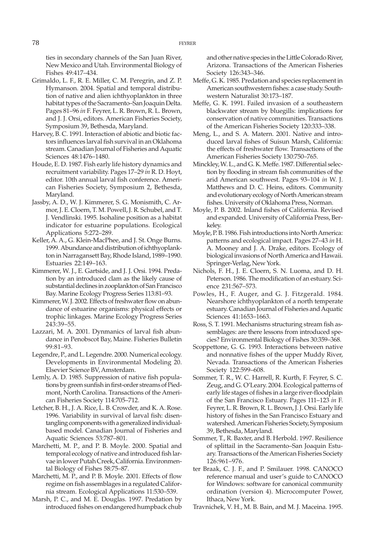ties in secondary channels of the San Juan River, New Mexico and Utah. Environmental Biology of Fishes 49:417–434.

- Grimaldo, L. F., R. E. Miller, C. M. Peregrin, and Z. P. Hymanson. 2004. Spatial and temporal distribution of native and alien ichthyoplankton in three habitat types of the Sacramento–San Joaquin Delta. Pages 81–96 *in* F. Feyrer, L. R. Brown, R. L. Brown, and J. J. Orsi, editors. American Fisheries Society, Symposium 39, Bethesda, Maryland.
- Harvey, B. C. 1991. Interaction of abiotic and biotic factors influences larval fish survival in an Oklahoma stream. Canadian Journal of Fisheries and Aquatic Sciences 48:1476–1480.
- Houde, E. D. 1987. Fish early life history dynamics and recruitment variability. Pages 17–29 *in* R. D. Hoyt, editor. 10th annual larval fish conference. American Fisheries Society, Symposium 2, Bethesda, Maryland.
- Jassby, A. D., W. J. Kimmerer, S. G. Monismith, C. Armor, J. E. Cloern, T. M. Powell, J. R. Schubel, and T. J. Vendlinski. 1995. Isohaline position as a habitat indicator for estuarine populations. Ecological Applications 5:272–289.
- Keller, A. A., G. Klein-MacPhee, and J. St. Onge Burns. 1999. Abundance and distribution of ichthyoplankton in Narragansett Bay, Rhode Island, 1989–1990. Estuaries 22:149–163.
- Kimmerer, W. J., E. Gartside, and J. J. Orsi. 1994. Predation by an introduced clam as the likely cause of substantial declines in zooplankton of San Francisco Bay. Marine Ecology Progress Series 113:81–93.
- Kimmerer, W. J. 2002. Effects of freshwater flow on abundance of estuarine organisms: physical effects or trophic linkages. Marine Ecology Progress Series 243:39–55.
- Lazzari, M. A. 2001. Dynmanics of larval fish abundance in Penobscot Bay, Maine. Fisheries Bulletin 99:81–93.
- Legendre, P., and L. Legendre. 2000. Numerical ecology. Developments in Environmental Modeling 20. Elsevier Science BV, Amsterdam.
- Lemly, A. D. 1985. Suppression of native fish populations by green sunfish in first-order streams of Piedmont, North Carolina. Transactions of the American Fisheries Society 114:705–712.
- Letcher, B. H., J. A. Rice, L. B. Crowder, and K. A. Rose. 1996. Variability in survival of larval fish: disentangling components with a generalized individualbased model. Canadian Journal of Fisheries and Aquatic Sciences 53:787–801.
- Marchetti, M. P., and P. B. Moyle. 2000. Spatial and temporal ecology of native and introduced fish larvae in lower Putah Creek, California. Environmental Biology of Fishes 58:75–87.
- Marchetti, M. P., and P. B. Moyle. 2001. Effects of flow regime on fish assemblages in a regulated California stream. Ecological Applications 11:530–539.
- Marsh, P. C., and M. E. Douglas. 1997. Predation by introduced fishes on endangered humpback chub

and other native species in the Little Colorado River, Arizona. Transactions of the American Fisheries Society 126:343–346.

- Meffe, G. K. 1985. Predation and species replacement in American southwestern fishes: a case study. Southwestern Naturalist 30:173–187.
- Meffe, G. K. 1991. Failed invasion of a southeastern blackwater stream by bluegills: implications for conservation of native communities. Transactions of the American Fisheries Society 120:333–338.
- Meng, L., and S. A. Matern. 2001. Native and introduced larval fishes of Suisun Marsh, California: the effects of freshwater flow. Transactions of the American Fisheries Society 130:750–765.
- Minckley, W. L., and G. K. Meffe. 1987. Differential selection by flooding in stream fish communities of the arid American southwest. Pages 93–104 *in* W. J. Matthews and D. C. Heins, editors. Community and evolutionary ecology of North American stream fishes. University of Oklahoma Press, Norman.
- Moyle, P. B. 2002. Inland fishes of California. Revised and expanded. University of California Press, Berkeley.
- Moyle, P. B. 1986. Fish introductions into North America: patterns and ecological impact. Pages 27–43 *in* H. A. Mooney and J. A. Drake, editors. Ecology of biological invasions of North America and Hawaii. Springer-Verlag, New York.
- Nichols, F. H., J. E. Cloern, S. N. Luoma, and D. H. Peterson. 1986. The modification of an estuary. Science 231:567–573.
- Powles, H., F. Auger, and G. J. Fitzgerald. 1984. Nearshore ichthyoplankton of a north temperate estuary. Canadian Journal of Fisheries and Aquatic Sciences 41:1653–1663.
- Ross, S. T. 1991. Mechanisms structuring stream fish assemblages: are there lessons from introduced species? Environmental Biology of Fishes 30:359–368.
- Scoppettone, G. G. 1993. Interactions between native and nonnative fishes of the upper Muddy River, Nevada. Transactions of the American Fisheries Society 122:599–608.
- Sommer, T. R., W. C. Harrell, R. Kurth, F. Feyrer, S. C. Zeug, and G. O'Leary. 2004. Ecological patterns of early life stages of fishes in a large river-floodplain of the San Francisco Estuary. Pages 111–123 *in* F. Feyrer, L. R. Brown, R. L. Brown, J. J. Orsi. Early life history of fishes in the San Francisco Estuary and watershed. American Fisheries Society, Symposium 39, Bethesda, Maryland.
- Sommer, T., R. Baxter, and B. Herbold. 1997. Resilience of splittail in the Sacramento–San Joaquin Estuary. Transactions of the American Fisheries Society 126:961–976.
- ter Braak, C. J. F., and P. Smilauer. 1998. CANOCO reference manual and user's guide to CANOCO for Windows: software for canonical community ordination (version 4). Microcomputer Power, Ithaca, New York.

Travnichek, V. H., M. B. Bain, and M. J. Maceina. 1995.